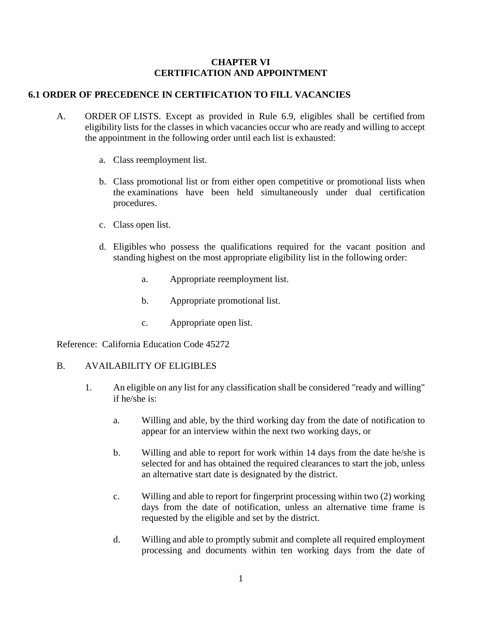#### **CHAPTER VI CERTIFICATION AND APPOINTMENT**

#### **6.1 ORDER OF PRECEDENCE IN CERTIFICATION TO FILL VACANCIES**

- A. ORDER OF LISTS. Except as provided in Rule 6.9, eligibles shall be certified from eligibility lists for the classes in which vacancies occur who are ready and willing to accept the appointment in the following order until each list is exhausted:
	- a. Class reemployment list.
	- b. Class promotional list or from either open competitive or promotional lists when the examinations have been held simultaneously under dual certification procedures.
	- c. Class open list.
	- d. Eligibles who possess the qualifications required for the vacant position and standing highest on the most appropriate eligibility list in the following order:
		- a. Appropriate reemployment list.
		- b. Appropriate promotional list.
		- c. Appropriate open list.

Reference: California Education Code 45272

#### B. AVAILABILITY OF ELIGIBLES

- 1. An eligible on any list for any classification shall be considered "ready and willing" if he/she is:
	- a. Willing and able, by the third working day from the date of notification to appear for an interview within the next two working days, or
	- b. Willing and able to report for work within 14 days from the date he/she is selected for and has obtained the required clearances to start the job, unless an alternative start date is designated by the district.
	- c. Willing and able to report for fingerprint processing within two (2) working days from the date of notification, unless an alternative time frame is requested by the eligible and set by the district.
	- d. Willing and able to promptly submit and complete all required employment processing and documents within ten working days from the date of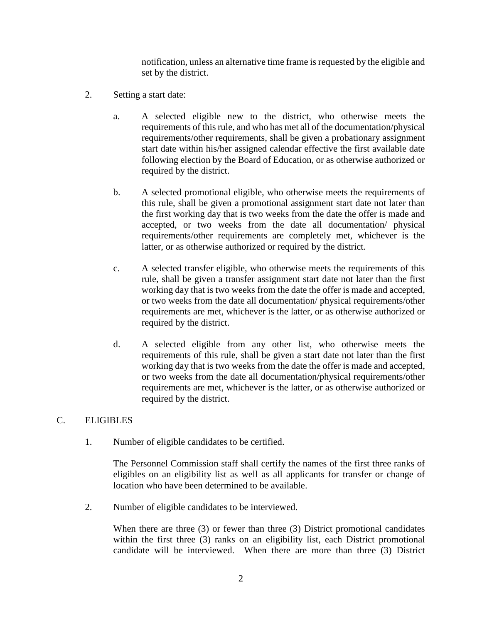notification, unless an alternative time frame is requested by the eligible and set by the district.

- 2. Setting a start date:
	- a. A selected eligible new to the district, who otherwise meets the requirements of this rule, and who has met all of the documentation/physical requirements/other requirements, shall be given a probationary assignment start date within his/her assigned calendar effective the first available date following election by the Board of Education, or as otherwise authorized or required by the district.
	- b. A selected promotional eligible, who otherwise meets the requirements of this rule, shall be given a promotional assignment start date not later than the first working day that is two weeks from the date the offer is made and accepted, or two weeks from the date all documentation/ physical requirements/other requirements are completely met, whichever is the latter, or as otherwise authorized or required by the district.
	- c. A selected transfer eligible, who otherwise meets the requirements of this rule, shall be given a transfer assignment start date not later than the first working day that is two weeks from the date the offer is made and accepted, or two weeks from the date all documentation/ physical requirements/other requirements are met, whichever is the latter, or as otherwise authorized or required by the district.
	- d. A selected eligible from any other list, who otherwise meets the requirements of this rule, shall be given a start date not later than the first working day that is two weeks from the date the offer is made and accepted, or two weeks from the date all documentation/physical requirements/other requirements are met, whichever is the latter, or as otherwise authorized or required by the district.

#### C. ELIGIBLES

1. Number of eligible candidates to be certified.

The Personnel Commission staff shall certify the names of the first three ranks of eligibles on an eligibility list as well as all applicants for transfer or change of location who have been determined to be available.

2. Number of eligible candidates to be interviewed.

When there are three (3) or fewer than three (3) District promotional candidates within the first three (3) ranks on an eligibility list, each District promotional candidate will be interviewed. When there are more than three (3) District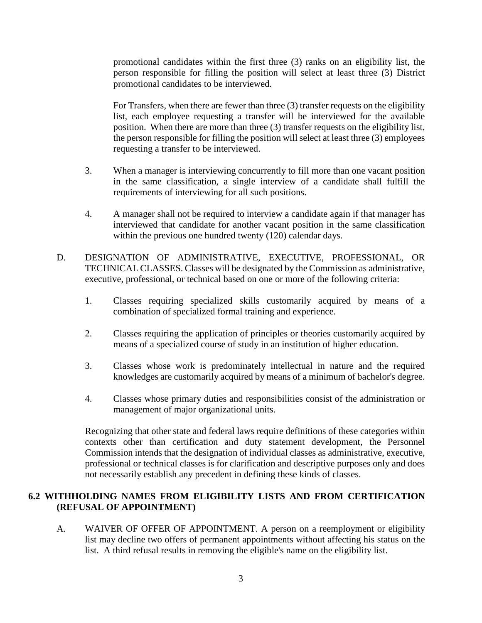promotional candidates within the first three (3) ranks on an eligibility list, the person responsible for filling the position will select at least three (3) District promotional candidates to be interviewed.

For Transfers, when there are fewer than three (3) transfer requests on the eligibility list, each employee requesting a transfer will be interviewed for the available position. When there are more than three (3) transfer requests on the eligibility list, the person responsible for filling the position will select at least three (3) employees requesting a transfer to be interviewed.

- 3. When a manager is interviewing concurrently to fill more than one vacant position in the same classification, a single interview of a candidate shall fulfill the requirements of interviewing for all such positions.
- 4. A manager shall not be required to interview a candidate again if that manager has interviewed that candidate for another vacant position in the same classification within the previous one hundred twenty (120) calendar days.
- D. DESIGNATION OF ADMINISTRATIVE, EXECUTIVE, PROFESSIONAL, OR TECHNICAL CLASSES. Classes will be designated by the Commission as administrative, executive, professional, or technical based on one or more of the following criteria:
	- 1. Classes requiring specialized skills customarily acquired by means of a combination of specialized formal training and experience.
	- 2. Classes requiring the application of principles or theories customarily acquired by means of a specialized course of study in an institution of higher education.
	- 3. Classes whose work is predominately intellectual in nature and the required knowledges are customarily acquired by means of a minimum of bachelor's degree.
	- 4. Classes whose primary duties and responsibilities consist of the administration or management of major organizational units.

Recognizing that other state and federal laws require definitions of these categories within contexts other than certification and duty statement development, the Personnel Commission intends that the designation of individual classes as administrative, executive, professional or technical classes is for clarification and descriptive purposes only and does not necessarily establish any precedent in defining these kinds of classes.

## **6.2 WITHHOLDING NAMES FROM ELIGIBILITY LISTS AND FROM CERTIFICATION (REFUSAL OF APPOINTMENT)**

A. WAIVER OF OFFER OF APPOINTMENT. A person on a reemployment or eligibility list may decline two offers of permanent appointments without affecting his status on the list. A third refusal results in removing the eligible's name on the eligibility list.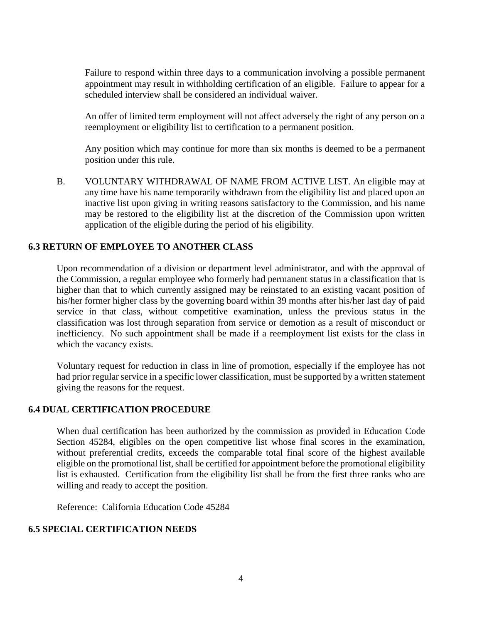Failure to respond within three days to a communication involving a possible permanent appointment may result in withholding certification of an eligible. Failure to appear for a scheduled interview shall be considered an individual waiver.

An offer of limited term employment will not affect adversely the right of any person on a reemployment or eligibility list to certification to a permanent position.

Any position which may continue for more than six months is deemed to be a permanent position under this rule.

B. VOLUNTARY WITHDRAWAL OF NAME FROM ACTIVE LIST. An eligible may at any time have his name temporarily withdrawn from the eligibility list and placed upon an inactive list upon giving in writing reasons satisfactory to the Commission, and his name may be restored to the eligibility list at the discretion of the Commission upon written application of the eligible during the period of his eligibility.

## **6.3 RETURN OF EMPLOYEE TO ANOTHER CLASS**

Upon recommendation of a division or department level administrator, and with the approval of the Commission, a regular employee who formerly had permanent status in a classification that is higher than that to which currently assigned may be reinstated to an existing vacant position of his/her former higher class by the governing board within 39 months after his/her last day of paid service in that class, without competitive examination, unless the previous status in the classification was lost through separation from service or demotion as a result of misconduct or inefficiency. No such appointment shall be made if a reemployment list exists for the class in which the vacancy exists.

Voluntary request for reduction in class in line of promotion, especially if the employee has not had prior regular service in a specific lower classification, must be supported by a written statement giving the reasons for the request.

#### **6.4 DUAL CERTIFICATION PROCEDURE**

When dual certification has been authorized by the commission as provided in Education Code Section 45284, eligibles on the open competitive list whose final scores in the examination, without preferential credits, exceeds the comparable total final score of the highest available eligible on the promotional list, shall be certified for appointment before the promotional eligibility list is exhausted. Certification from the eligibility list shall be from the first three ranks who are willing and ready to accept the position.

Reference: California Education Code 45284

## **6.5 SPECIAL CERTIFICATION NEEDS**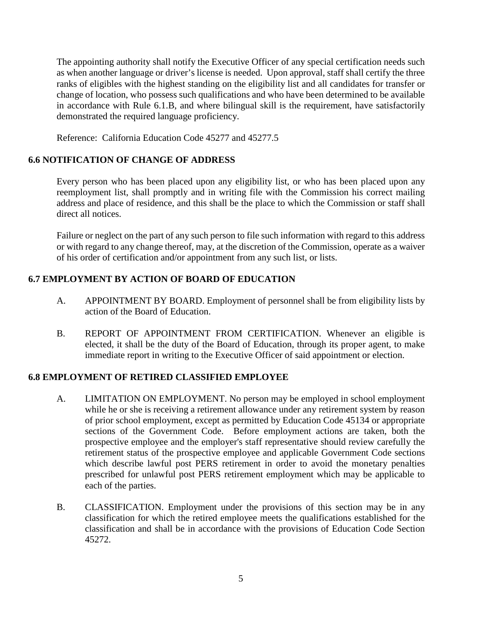The appointing authority shall notify the Executive Officer of any special certification needs such as when another language or driver's license is needed. Upon approval, staff shall certify the three ranks of eligibles with the highest standing on the eligibility list and all candidates for transfer or change of location, who possess such qualifications and who have been determined to be available in accordance with Rule 6.1.B, and where bilingual skill is the requirement, have satisfactorily demonstrated the required language proficiency.

Reference: California Education Code 45277 and 45277.5

## **6.6 NOTIFICATION OF CHANGE OF ADDRESS**

Every person who has been placed upon any eligibility list, or who has been placed upon any reemployment list, shall promptly and in writing file with the Commission his correct mailing address and place of residence, and this shall be the place to which the Commission or staff shall direct all notices.

Failure or neglect on the part of any such person to file such information with regard to this address or with regard to any change thereof, may, at the discretion of the Commission, operate as a waiver of his order of certification and/or appointment from any such list, or lists.

# **6.7 EMPLOYMENT BY ACTION OF BOARD OF EDUCATION**

- A. APPOINTMENT BY BOARD. Employment of personnel shall be from eligibility lists by action of the Board of Education.
- B. REPORT OF APPOINTMENT FROM CERTIFICATION. Whenever an eligible is elected, it shall be the duty of the Board of Education, through its proper agent, to make immediate report in writing to the Executive Officer of said appointment or election.

## **6.8 EMPLOYMENT OF RETIRED CLASSIFIED EMPLOYEE**

- A. LIMITATION ON EMPLOYMENT. No person may be employed in school employment while he or she is receiving a retirement allowance under any retirement system by reason of prior school employment, except as permitted by Education Code 45134 or appropriate sections of the Government Code. Before employment actions are taken, both the prospective employee and the employer's staff representative should review carefully the retirement status of the prospective employee and applicable Government Code sections which describe lawful post PERS retirement in order to avoid the monetary penalties prescribed for unlawful post PERS retirement employment which may be applicable to each of the parties.
- B. CLASSIFICATION. Employment under the provisions of this section may be in any classification for which the retired employee meets the qualifications established for the classification and shall be in accordance with the provisions of Education Code Section 45272.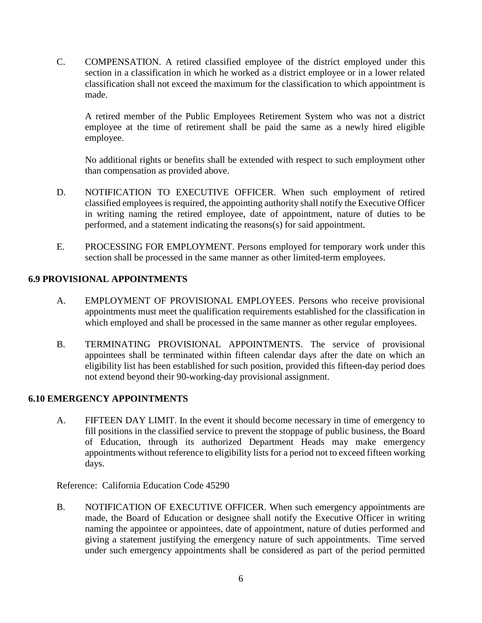C. COMPENSATION. A retired classified employee of the district employed under this section in a classification in which he worked as a district employee or in a lower related classification shall not exceed the maximum for the classification to which appointment is made.

A retired member of the Public Employees Retirement System who was not a district employee at the time of retirement shall be paid the same as a newly hired eligible employee.

No additional rights or benefits shall be extended with respect to such employment other than compensation as provided above.

- D. NOTIFICATION TO EXECUTIVE OFFICER. When such employment of retired classified employees is required, the appointing authority shall notify the Executive Officer in writing naming the retired employee, date of appointment, nature of duties to be performed, and a statement indicating the reasons(s) for said appointment.
- E. PROCESSING FOR EMPLOYMENT. Persons employed for temporary work under this section shall be processed in the same manner as other limited-term employees.

## **6.9 PROVISIONAL APPOINTMENTS**

- A. EMPLOYMENT OF PROVISIONAL EMPLOYEES. Persons who receive provisional appointments must meet the qualification requirements established for the classification in which employed and shall be processed in the same manner as other regular employees.
- B. TERMINATING PROVISIONAL APPOINTMENTS. The service of provisional appointees shall be terminated within fifteen calendar days after the date on which an eligibility list has been established for such position, provided this fifteen-day period does not extend beyond their 90-working-day provisional assignment.

## **6.10 EMERGENCY APPOINTMENTS**

A. FIFTEEN DAY LIMIT. In the event it should become necessary in time of emergency to fill positions in the classified service to prevent the stoppage of public business, the Board of Education, through its authorized Department Heads may make emergency appointments without reference to eligibility lists for a period not to exceed fifteen working days.

Reference: California Education Code 45290

B. NOTIFICATION OF EXECUTIVE OFFICER. When such emergency appointments are made, the Board of Education or designee shall notify the Executive Officer in writing naming the appointee or appointees, date of appointment, nature of duties performed and giving a statement justifying the emergency nature of such appointments. Time served under such emergency appointments shall be considered as part of the period permitted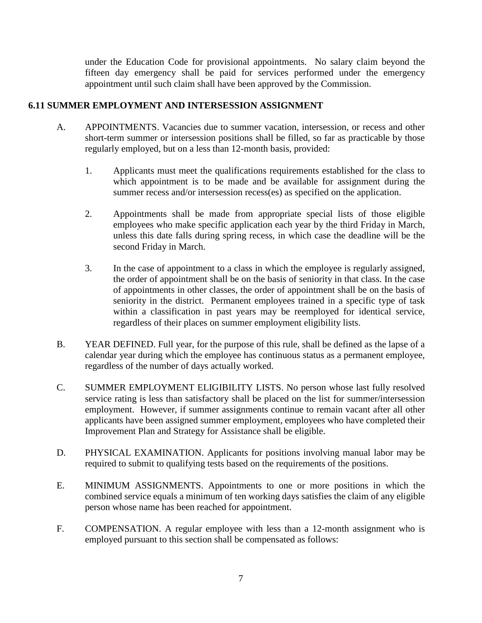under the Education Code for provisional appointments. No salary claim beyond the fifteen day emergency shall be paid for services performed under the emergency appointment until such claim shall have been approved by the Commission.

## **6.11 SUMMER EMPLOYMENT AND INTERSESSION ASSIGNMENT**

- A. APPOINTMENTS. Vacancies due to summer vacation, intersession, or recess and other short-term summer or intersession positions shall be filled, so far as practicable by those regularly employed, but on a less than 12-month basis, provided:
	- 1. Applicants must meet the qualifications requirements established for the class to which appointment is to be made and be available for assignment during the summer recess and/or intersession recess(es) as specified on the application.
	- 2. Appointments shall be made from appropriate special lists of those eligible employees who make specific application each year by the third Friday in March, unless this date falls during spring recess, in which case the deadline will be the second Friday in March.
	- 3. In the case of appointment to a class in which the employee is regularly assigned, the order of appointment shall be on the basis of seniority in that class. In the case of appointments in other classes, the order of appointment shall be on the basis of seniority in the district. Permanent employees trained in a specific type of task within a classification in past years may be reemployed for identical service, regardless of their places on summer employment eligibility lists.
- B. YEAR DEFINED. Full year, for the purpose of this rule, shall be defined as the lapse of a calendar year during which the employee has continuous status as a permanent employee, regardless of the number of days actually worked.
- C. SUMMER EMPLOYMENT ELIGIBILITY LISTS. No person whose last fully resolved service rating is less than satisfactory shall be placed on the list for summer/intersession employment. However, if summer assignments continue to remain vacant after all other applicants have been assigned summer employment, employees who have completed their Improvement Plan and Strategy for Assistance shall be eligible.
- D. PHYSICAL EXAMINATION. Applicants for positions involving manual labor may be required to submit to qualifying tests based on the requirements of the positions.
- E. MINIMUM ASSIGNMENTS. Appointments to one or more positions in which the combined service equals a minimum of ten working days satisfies the claim of any eligible person whose name has been reached for appointment.
- F. COMPENSATION. A regular employee with less than a 12-month assignment who is employed pursuant to this section shall be compensated as follows: